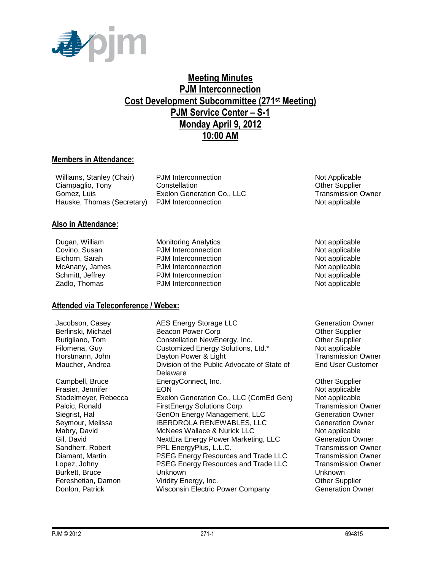

### **Meeting Minutes PJM Interconnection Cost Development Subcommittee (271st Meeting) PJM Service Center – S-1 Monday April 9, 2012 10:00 AM**

#### **Members in Attendance:**

| Williams, Stanley (Chair)  |  |
|----------------------------|--|
| Ciampaglio, Tony           |  |
| Gomez. Luis                |  |
| Hauske, Thomas (Secretary) |  |

PJM Interconnection Not Applicable Constellation **Constellation** Constellation Constellation Constellation Constellation Constellation Constellation Exelon Generation Co., LLC Transmission Owner PJM Interconnection Not applicable

#### **Also in Attendance:**

Dugan, William Monitoring Analytics Note and Monitoring Analytics<br>Covino, Susan Covino, PJM Interconnection Not applicable

**Attended via Teleconference / Webex:**

PJM Interconnection Not applicable Eichorn, Sarah **PJM Interconnection** Not applicable McAnany, James **PJM Interconnection** Not applicable Schmitt, Jeffrey **PJM** Interconnection **Not applicable** Not applicable Zadlo, Thomas **PJM Interconnection** Not applicable

Jacobson, Casey **AES Energy Storage LLC** Generation Owner Berlinski, Michael **Beacon Power Corp Communist Convention** Other Supplier Rutigliano, Tom Constellation NewEnergy, Inc. Construction Other Supplier Filomena, Guy Customized Energy Solutions, Ltd.\* Not applicable Horstmann, John **Dayton Power & Light** Transmission Owner Maucher, Andrea Christian of the Public Advocate of State of Transmission Owner Division of the Public Advocate of State of Delaware Campbell, Bruce **EnergyConnect, Inc.** Campbell, Bruce **Campbell**, Bruce **Campbell**, Bruce **EnergyConnect**, Inc. Frasier, Jennifer **EON** Not applicable **EON** Not applicable Stadelmeyer, Rebecca Exelon Generation Co., LLC (ComEd Gen) Not applicable Palcic, Ronald **FirstEnergy Solutions Corp.** Transmission Owner Siegrist, Hal Generation Genon Energy Management, LLC Generation Owner Seymour, Melissa **IBERDROLA RENEWABLES, LLC** Generation Owner Mabry, David **McNees Wallace & Nurick LLC** Not applicable Gil, David **NextEra Energy Power Marketing, LLC** Generation Owner Sandherr, Robert **PPL EnergyPlus, L.L.C.** Transmission Owner Diamant, Martin **PSEG Energy Resources and Trade LLC** Transmission Owner Lopez, Johny PSEG Energy Resources and Trade LLC Transmission Owner Burkett, Bruce Unknown Unknown Fereshetian, Damon Viridity Energy, Inc. The Communication of the Supplier Donlon, Patrick Wisconsin Electric Power Company Generation Owner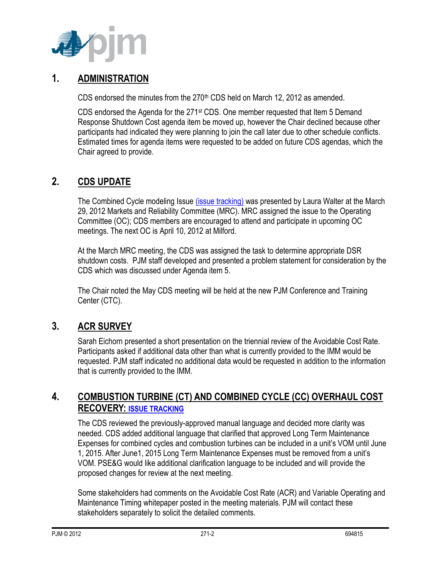

## **1. ADMINISTRATION**

CDS endorsed the minutes from the 270<sup>th</sup> CDS held on March 12, 2012 as amended.

CDS endorsed the Agenda for the  $271st$  CDS. One member requested that Item 5 Demand Response Shutdown Cost agenda item be moved up, however the Chair declined because other participants had indicated they were planning to join the call later due to other schedule conflicts. Estimated times for agenda items were requested to be added on future CDS agendas, which the Chair agreed to provide.

# **2. CDS UPDATE**

The Combined Cycle modeling Issue [\(issue tracking\)](http://pjm.com/committees-and-groups/issue-tracking/issue-tracking-details.aspx?Issue=%7bE5A783B1-FF7A-4A7F-B6CE-3CD2765836F9%7d) was presented by Laura Walter at the March 29, 2012 Markets and Reliability Committee (MRC). MRC assigned the issue to the Operating Committee (OC); CDS members are encouraged to attend and participate in upcoming OC meetings. The next OC is April 10, 2012 at Milford.

At the March MRC meeting, the CDS was assigned the task to determine appropriate DSR shutdown costs. PJM staff developed and presented a problem statement for consideration by the CDS which was discussed under Agenda item 5.

The Chair noted the May CDS meeting will be held at the new PJM Conference and Training Center (CTC).

# **3. ACR SURVEY**

Sarah Eichorn presented a short presentation on the triennial review of the Avoidable Cost Rate. Participants asked if additional data other than what is currently provided to the IMM would be requested. PJM staff indicated no additional data would be requested in addition to the information that is currently provided to the IMM.

# **4. COMBUSTION TURBINE (CT) AND COMBINED CYCLE (CC) OVERHAUL COST RECOVERY: [ISSUE TRACKING](http://pjm.com/committees-and-groups/issue-tracking/issue-tracking-details.aspx?Issue=%7b3159C1F6-5498-412A-84F2-D4EA3F5834C6%7d)**

The CDS reviewed the previously-approved manual language and decided more clarity was needed. CDS added additional language that clarified that approved Long Term Maintenance Expenses for combined cycles and combustion turbines can be included in a unit's VOM until June 1, 2015. After June1, 2015 Long Term Maintenance Expenses must be removed from a unit's VOM. PSE&G would like additional clarification language to be included and will provide the proposed changes for review at the next meeting.

Some stakeholders had comments on the Avoidable Cost Rate (ACR) and Variable Operating and Maintenance Timing whitepaper posted in the meeting materials. PJM will contact these stakeholders separately to solicit the detailed comments.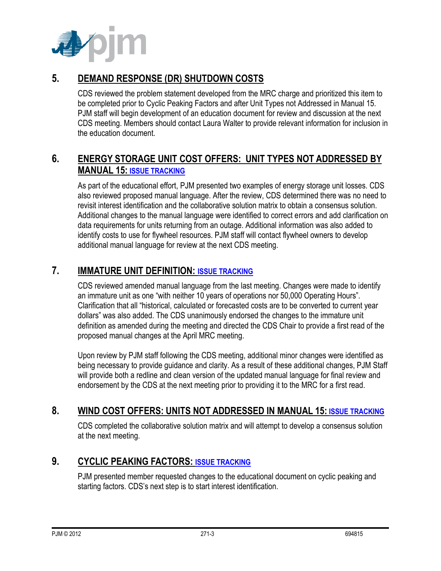

### **5. DEMAND RESPONSE (DR) SHUTDOWN COSTS**

CDS reviewed the problem statement developed from the MRC charge and prioritized this item to be completed prior to Cyclic Peaking Factors and after Unit Types not Addressed in Manual 15. PJM staff will begin development of an education document for review and discussion at the next CDS meeting. Members should contact Laura Walter to provide relevant information for inclusion in the education document.

## **6. ENERGY STORAGE UNIT COST OFFERS: UNIT TYPES NOT ADDRESSED BY MANUAL 15: [ISSUE TRACKING](http://pjm.com/committees-and-groups/issue-tracking/issue-tracking-details.aspx?Issue=%7b3159C1F6-5498-412A-84F2-D4EA3F5834C6%7d)**

As part of the educational effort, PJM presented two examples of energy storage unit losses. CDS also reviewed proposed manual language. After the review, CDS determined there was no need to revisit interest identification and the collaborative solution matrix to obtain a consensus solution. Additional changes to the manual language were identified to correct errors and add clarification on data requirements for units returning from an outage. Additional information was also added to identify costs to use for flywheel resources. PJM staff will contact flywheel owners to develop additional manual language for review at the next CDS meeting.

#### **7. IMMATURE UNIT DEFINITION: [ISSUE TRACKING](http://pjm.com/committees-and-groups/issue-tracking/issue-tracking-details.aspx?Issue=%7b510DC5A0-8F2D-46B1-8FA4-3D61DC10BA45%7d)**

CDS reviewed amended manual language from the last meeting. Changes were made to identify an immature unit as one "with neither 10 years of operations nor 50,000 Operating Hours". Clarification that all "historical, calculated or forecasted costs are to be converted to current year dollars" was also added. The CDS unanimously endorsed the changes to the immature unit definition as amended during the meeting and directed the CDS Chair to provide a first read of the proposed manual changes at the April MRC meeting.

Upon review by PJM staff following the CDS meeting, additional minor changes were identified as being necessary to provide guidance and clarity. As a result of these additional changes, PJM Staff will provide both a redline and clean version of the updated manual language for final review and endorsement by the CDS at the next meeting prior to providing it to the MRC for a first read.

#### **8. WIND COST OFFERS: UNITS NOT ADDRESSED IN MANUAL 15: [ISSUE TRACKING](http://pjm.com/committees-and-groups/issue-tracking/issue-tracking-details.aspx?Issue=%7b3159C1F6-5498-412A-84F2-D4EA3F5834C6%7d)**

CDS completed the collaborative solution matrix and will attempt to develop a consensus solution at the next meeting.

## **9. CYCLIC PEAKING FACTORS: [ISSUE TRACKING](http://www.pjm.com/committees-and-groups/issue-tracking/issue-tracking-details.aspx?Issue=%7b271B9B61-2DB7-4D21-8C58-20324835B7D2%7d)**

PJM presented member requested changes to the educational document on cyclic peaking and starting factors. CDS's next step is to start interest identification.